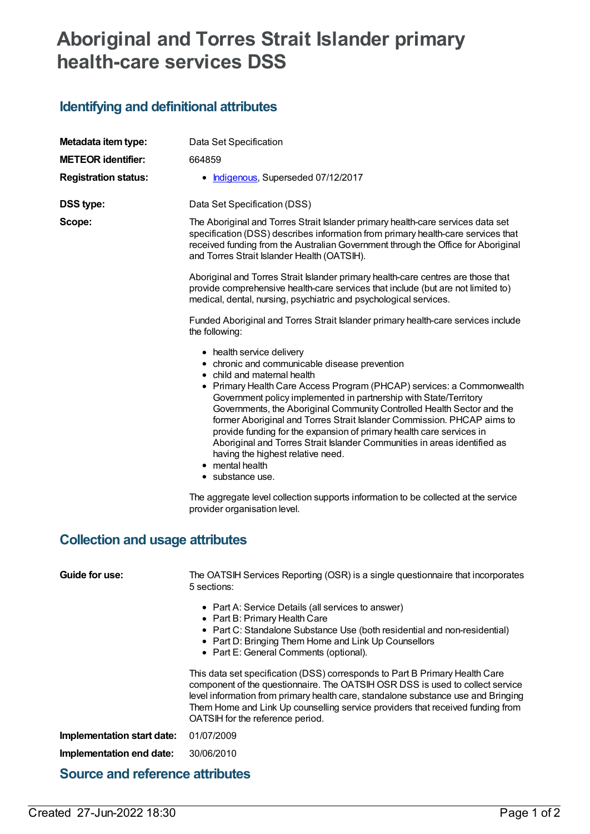## **Aboriginal and Torres Strait Islander primary health-care services DSS**

## **Identifying and definitional attributes**

| Metadata item type:                    | Data Set Specification                                                                                                                                                                                                                                                                                                                                                                                                                                                                                                                                                                                                                                                                                                                                            |  |  |  |
|----------------------------------------|-------------------------------------------------------------------------------------------------------------------------------------------------------------------------------------------------------------------------------------------------------------------------------------------------------------------------------------------------------------------------------------------------------------------------------------------------------------------------------------------------------------------------------------------------------------------------------------------------------------------------------------------------------------------------------------------------------------------------------------------------------------------|--|--|--|
| <b>METEOR identifier:</b>              | 664859                                                                                                                                                                                                                                                                                                                                                                                                                                                                                                                                                                                                                                                                                                                                                            |  |  |  |
| <b>Registration status:</b>            | • Indigenous, Superseded 07/12/2017                                                                                                                                                                                                                                                                                                                                                                                                                                                                                                                                                                                                                                                                                                                               |  |  |  |
| <b>DSS type:</b>                       | Data Set Specification (DSS)                                                                                                                                                                                                                                                                                                                                                                                                                                                                                                                                                                                                                                                                                                                                      |  |  |  |
| Scope:                                 | The Aboriginal and Torres Strait Islander primary health-care services data set<br>specification (DSS) describes information from primary health-care services that<br>received funding from the Australian Government through the Office for Aboriginal<br>and Torres Strait Islander Health (OATSIH).                                                                                                                                                                                                                                                                                                                                                                                                                                                           |  |  |  |
|                                        | Aboriginal and Torres Strait Islander primary health-care centres are those that<br>provide comprehensive health-care services that include (but are not limited to)<br>medical, dental, nursing, psychiatric and psychological services.                                                                                                                                                                                                                                                                                                                                                                                                                                                                                                                         |  |  |  |
|                                        | Funded Aboriginal and Torres Strait Islander primary health-care services include<br>the following:                                                                                                                                                                                                                                                                                                                                                                                                                                                                                                                                                                                                                                                               |  |  |  |
| <b>Collection and usage attributes</b> | • health service delivery<br>• chronic and communicable disease prevention<br>• child and maternal health<br>• Primary Health Care Access Program (PHCAP) services: a Commonwealth<br>Government policy implemented in partnership with State/Territory<br>Governments, the Aboriginal Community Controlled Health Sector and the<br>former Aboriginal and Torres Strait Islander Commission. PHCAP aims to<br>provide funding for the expansion of primary health care services in<br>Aboriginal and Torres Strait Islander Communities in areas identified as<br>having the highest relative need.<br>• mental health<br>• substance use.<br>The aggregate level collection supports information to be collected at the service<br>provider organisation level. |  |  |  |
| Guide for use:                         | The OATSIH Services Reporting (OSR) is a single questionnaire that incorporates<br>5 sections:                                                                                                                                                                                                                                                                                                                                                                                                                                                                                                                                                                                                                                                                    |  |  |  |
|                                        | • Part A: Service Details (all services to answer)<br>• Part B: Primary Health Care<br>• Part C: Standalone Substance Use (both residential and non-residential)<br>• Part D: Bringing Them Home and Link Up Counsellors<br>• Part E: General Comments (optional).                                                                                                                                                                                                                                                                                                                                                                                                                                                                                                |  |  |  |
|                                        | This data set specification (DSS) corresponds to Part B Primary Health Care<br>component of the questionnaire. The OATSIH OSR DSS is used to collect service<br>level information from primary health care, standalone substance use and Bringing<br>Them Home and Link Up counselling service providers that received funding from<br>OATSIH for the reference period.                                                                                                                                                                                                                                                                                                                                                                                           |  |  |  |
| Implementation start date:             | 01/07/2009                                                                                                                                                                                                                                                                                                                                                                                                                                                                                                                                                                                                                                                                                                                                                        |  |  |  |
| Implementation end date:               | 30/06/2010                                                                                                                                                                                                                                                                                                                                                                                                                                                                                                                                                                                                                                                                                                                                                        |  |  |  |
| <b>Source and reference attributes</b> |                                                                                                                                                                                                                                                                                                                                                                                                                                                                                                                                                                                                                                                                                                                                                                   |  |  |  |